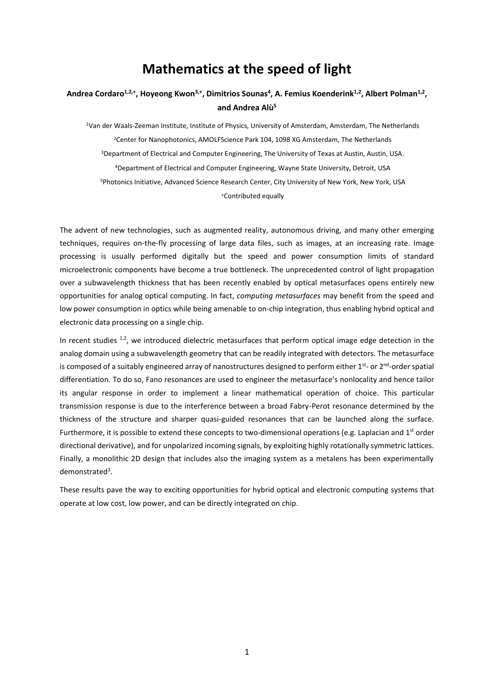## **Mathematics at the speed of light**

## **Andrea Cordaro1,2,+, Hoyeong Kwon3,+, Dimitrios Sounas<sup>4</sup> , A. Femius Koenderink1,2, Albert Polman1,2 , and Andrea Alù<sup>5</sup>**

Van der Waals-Zeeman Institute, Institute of Physics, University of Amsterdam, Amsterdam, The Netherlands Center for Nanophotonics, AMOLFScience Park 104, 1098 XG Amsterdam, The Netherlands Department of Electrical and Computer Engineering, The University of Texas at Austin, Austin, USA. Department of Electrical and Computer Engineering, Wayne State University, Detroit, USA Photonics Initiative, Advanced Science Research Center, City University of New York, New York, USA <sup>+</sup>Contributed equally

The advent of new technologies, such as augmented reality, autonomous driving, and many other emerging techniques, requires on-the-fly processing of large data files, such as images, at an increasing rate. Image processing is usually performed digitally but the speed and power consumption limits of standard microelectronic components have become a true bottleneck. The unprecedented control of light propagation over a subwavelength thickness that has been recently enabled by optical metasurfaces opens entirely new opportunities for analog optical computing. In fact, *computing metasurfaces* may benefit from the speed and low power consumption in optics while being amenable to on-chip integration, thus enabling hybrid optical and electronic data processing on a single chip.

In recent studies  $1,2$ , we introduced dielectric metasurfaces that perform optical image edge detection in the analog domain using a subwavelength geometry that can be readily integrated with detectors. The metasurface is composed of a suitably engineered array of nanostructures designed to perform either 1<sup>st</sup>- or 2<sup>nd</sup>-order spatial differentiation. To do so, Fano resonances are used to engineer the metasurface's nonlocality and hence tailor its angular response in order to implement a linear mathematical operation of choice. This particular transmission response is due to the interference between a broad Fabry-Perot resonance determined by the thickness of the structure and sharper quasi-guided resonances that can be launched along the surface. Furthermore, it is possible to extend these concepts to two-dimensional operations (e.g. Laplacian and  $1<sup>st</sup>$  order directional derivative), and for unpolarized incoming signals, by exploiting highly rotationally symmetric lattices. Finally, a monolithic 2D design that includes also the imaging system as a metalens has been experimentally demonstrated<sup>3</sup>.

These results pave the way to exciting opportunities for hybrid optical and electronic computing systems that operate at low cost, low power, and can be directly integrated on chip.